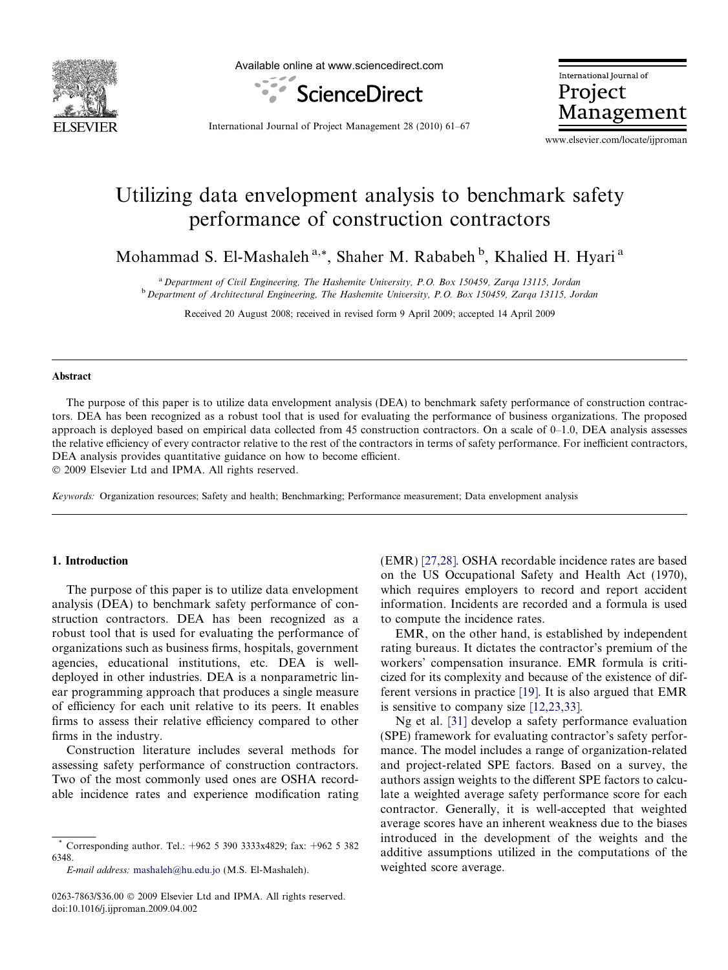

Available online at www.sciencedirect.com



International Journal of Project Management

International Journal of Project Management 28 (2010) 61–67

www.elsevier.com/locate/ijproman

## Utilizing data envelopment analysis to benchmark safety performance of construction contractors

Mohammad S. El-Mashaleh<sup>a,\*</sup>, Shaher M. Rababeh<sup>b</sup>, Khalied H. Hyari<sup>a</sup>

<sup>a</sup> Department of Civil Engineering, The Hashemite University, P.O. Box 150459, Zarqa 13115, Jordan <sup>b</sup> Department of Architectural Engineering, The Hashemite University, P.O. Box 150459, Zarqa 13115, Jordan

Received 20 August 2008; received in revised form 9 April 2009; accepted 14 April 2009

#### Abstract

The purpose of this paper is to utilize data envelopment analysis (DEA) to benchmark safety performance of construction contractors. DEA has been recognized as a robust tool that is used for evaluating the performance of business organizations. The proposed approach is deployed based on empirical data collected from 45 construction contractors. On a scale of 0–1.0, DEA analysis assesses the relative efficiency of every contractor relative to the rest of the contractors in terms of safety performance. For inefficient contractors, DEA analysis provides quantitative guidance on how to become efficient.

 $© 2009 Elsevier Ltd and IPMA. All rights reserved.$ 

Keywords: Organization resources; Safety and health; Benchmarking; Performance measurement; Data envelopment analysis

### 1. Introduction

The purpose of this paper is to utilize data envelopment analysis (DEA) to benchmark safety performance of construction contractors. DEA has been recognized as a robust tool that is used for evaluating the performance of organizations such as business firms, hospitals, government agencies, educational institutions, etc. DEA is welldeployed in other industries. DEA is a nonparametric linear programming approach that produces a single measure of efficiency for each unit relative to its peers. It enables firms to assess their relative efficiency compared to other firms in the industry.

Construction literature includes several methods for assessing safety performance of construction contractors. Two of the most commonly used ones are OSHA recordable incidence rates and experience modification rating

E-mail address: [mashaleh@hu.edu.jo](mailto:mashaleh@hu.edu.jo) (M.S. El-Mashaleh).

(EMR) [\[27,28\]](#page--1-0). OSHA recordable incidence rates are based on the US Occupational Safety and Health Act (1970), which requires employers to record and report accident information. Incidents are recorded and a formula is used to compute the incidence rates.

EMR, on the other hand, is established by independent rating bureaus. It dictates the contractor's premium of the workers' compensation insurance. EMR formula is criticized for its complexity and because of the existence of different versions in practice [\[19\]](#page--1-0). It is also argued that EMR is sensitive to company size [\[12,23,33\]](#page--1-0).

Ng et al. [\[31\]](#page--1-0) develop a safety performance evaluation (SPE) framework for evaluating contractor's safety performance. The model includes a range of organization-related and project-related SPE factors. Based on a survey, the authors assign weights to the different SPE factors to calculate a weighted average safety performance score for each contractor. Generally, it is well-accepted that weighted average scores have an inherent weakness due to the biases introduced in the development of the weights and the additive assumptions utilized in the computations of the weighted score average.

<sup>\*</sup> Corresponding author. Tel.: +962 5 390 3333x4829; fax: +962 5 382 6348.

<sup>0263-7863/\$36.00 © 2009</sup> Elsevier Ltd and IPMA. All rights reserved. doi:10.1016/j.ijproman.2009.04.002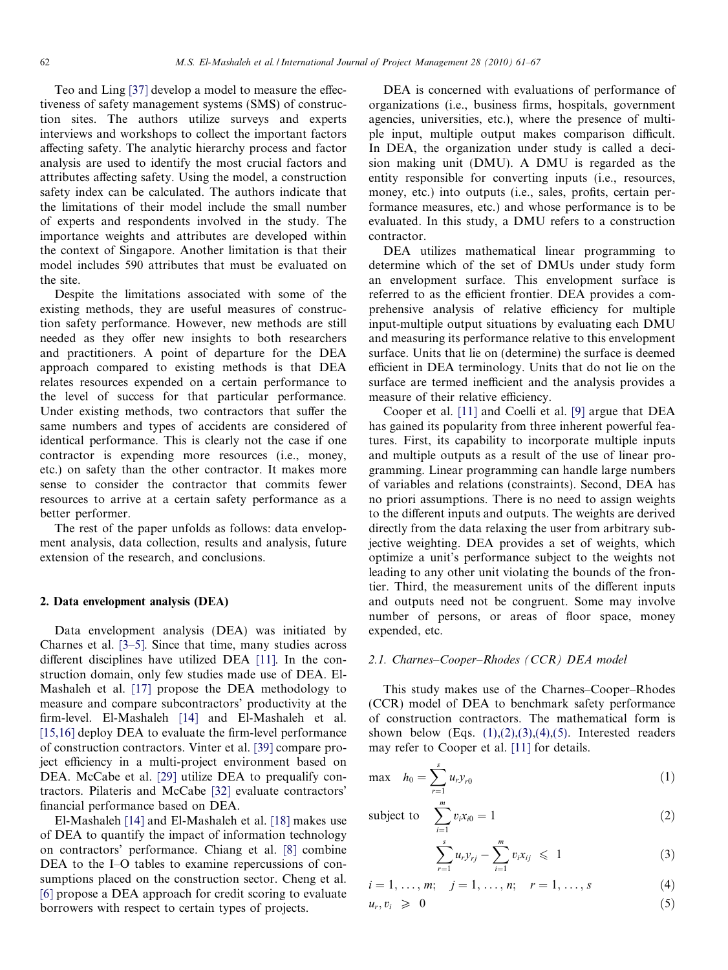Teo and Ling [\[37\]](#page--1-0) develop a model to measure the effectiveness of safety management systems (SMS) of construction sites. The authors utilize surveys and experts interviews and workshops to collect the important factors affecting safety. The analytic hierarchy process and factor analysis are used to identify the most crucial factors and attributes affecting safety. Using the model, a construction safety index can be calculated. The authors indicate that the limitations of their model include the small number of experts and respondents involved in the study. The importance weights and attributes are developed within the context of Singapore. Another limitation is that their model includes 590 attributes that must be evaluated on the site.

Despite the limitations associated with some of the existing methods, they are useful measures of construction safety performance. However, new methods are still needed as they offer new insights to both researchers and practitioners. A point of departure for the DEA approach compared to existing methods is that DEA relates resources expended on a certain performance to the level of success for that particular performance. Under existing methods, two contractors that suffer the same numbers and types of accidents are considered of identical performance. This is clearly not the case if one contractor is expending more resources (i.e., money, etc.) on safety than the other contractor. It makes more sense to consider the contractor that commits fewer resources to arrive at a certain safety performance as a better performer.

The rest of the paper unfolds as follows: data envelopment analysis, data collection, results and analysis, future extension of the research, and conclusions.

#### 2. Data envelopment analysis (DEA)

Data envelopment analysis (DEA) was initiated by Charnes et al. [\[3–5\].](#page--1-0) Since that time, many studies across different disciplines have utilized DEA [\[11\]](#page--1-0). In the construction domain, only few studies made use of DEA. El-Mashaleh et al. [\[17\]](#page--1-0) propose the DEA methodology to measure and compare subcontractors' productivity at the firm-level. El-Mashaleh [\[14\]](#page--1-0) and El-Mashaleh et al. [\[15,16\]](#page--1-0) deploy DEA to evaluate the firm-level performance of construction contractors. Vinter et al. [\[39\]](#page--1-0) compare project efficiency in a multi-project environment based on DEA. McCabe et al. [\[29\]](#page--1-0) utilize DEA to prequalify contractors. Pilateris and McCabe [\[32\]](#page--1-0) evaluate contractors' financial performance based on DEA.

El-Mashaleh [\[14\]](#page--1-0) and El-Mashaleh et al. [\[18\]](#page--1-0) makes use of DEA to quantify the impact of information technology on contractors' performance. Chiang et al. [\[8\]](#page--1-0) combine DEA to the I–O tables to examine repercussions of consumptions placed on the construction sector. Cheng et al. [\[6\]](#page--1-0) propose a DEA approach for credit scoring to evaluate borrowers with respect to certain types of projects.

DEA is concerned with evaluations of performance of organizations (i.e., business firms, hospitals, government agencies, universities, etc.), where the presence of multiple input, multiple output makes comparison difficult. In DEA, the organization under study is called a decision making unit (DMU). A DMU is regarded as the entity responsible for converting inputs (i.e., resources, money, etc.) into outputs (i.e., sales, profits, certain performance measures, etc.) and whose performance is to be evaluated. In this study, a DMU refers to a construction contractor.

DEA utilizes mathematical linear programming to determine which of the set of DMUs under study form an envelopment surface. This envelopment surface is referred to as the efficient frontier. DEA provides a comprehensive analysis of relative efficiency for multiple input-multiple output situations by evaluating each DMU and measuring its performance relative to this envelopment surface. Units that lie on (determine) the surface is deemed efficient in DEA terminology. Units that do not lie on the surface are termed inefficient and the analysis provides a measure of their relative efficiency.

Cooper et al. [\[11\]](#page--1-0) and Coelli et al. [\[9\]](#page--1-0) argue that DEA has gained its popularity from three inherent powerful features. First, its capability to incorporate multiple inputs and multiple outputs as a result of the use of linear programming. Linear programming can handle large numbers of variables and relations (constraints). Second, DEA has no priori assumptions. There is no need to assign weights to the different inputs and outputs. The weights are derived directly from the data relaxing the user from arbitrary subjective weighting. DEA provides a set of weights, which optimize a unit's performance subject to the weights not leading to any other unit violating the bounds of the frontier. Third, the measurement units of the different inputs and outputs need not be congruent. Some may involve number of persons, or areas of floor space, money expended, etc.

### 2.1. Charnes–Cooper–Rhodes (CCR) DEA model

This study makes use of the Charnes–Cooper–Rhodes (CCR) model of DEA to benchmark safety performance of construction contractors. The mathematical form is shown below  $(Eqs. (1),(2),(3),(4),(5))$ . Interested readers may refer to Cooper et al. [\[11\]](#page--1-0) for details.

$$
\max \quad h_0 = \sum_{r=1}^{s} u_r y_{r0} \tag{1}
$$

subject to 
$$
\sum_{i=1}^{m} v_i x_{i0} = 1
$$
 (2)

$$
\sum_{r=1}^{s} u_r y_{rj} - \sum_{i=1}^{m} v_i x_{ij} \leq 1 \tag{3}
$$

$$
i = 1, ..., m; \quad j = 1, ..., n; \quad r = 1, ..., s
$$
 (4)

$$
u_r, v_i \geqslant 0 \tag{5}
$$